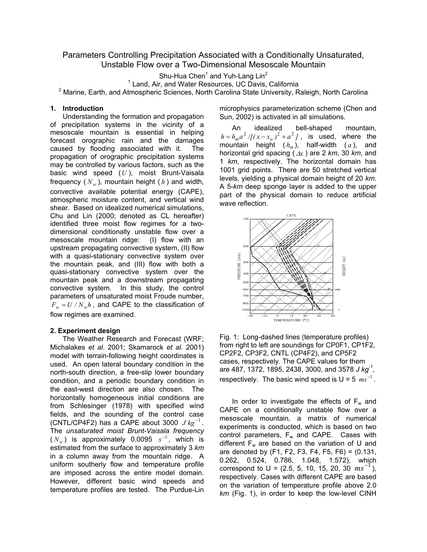# Parameters Controlling Precipitation Associated with a Conditionally Unsaturated, Unstable Flow over a Two-Dimensional Mesoscale Mountain

Shu-Hua Chen<sup>1</sup> and Yuh-Lang Lin<sup>2</sup>

<sup>1</sup> Land, Air, and Water Resources, UC Davis, California

<sup>2</sup> Marine, Earth, and Atmospheric Sciences, North Carolina State University, Raleigh, North Carolina

### **1. Introduction**

Understanding the formation and propagation of precipitation systems in the vicinity of a mesoscale mountain is essential in helping forecast orographic rain and the damages caused by flooding associated with it. The propagation of orographic precipitation systems may be controlled by various factors, such as the basic wind speed (*U* ), moist Brunt-Vaisala frequency  $(N_w)$ , mountain height  $(h)$  and width, convective available potential energy (CAPE), atmospheric moisture content, and vertical wind shear. Based on idealized numerical simulations, Chu and Lin (2000; denoted as CL hereafter) identified three moist flow regimes for a twodimensional conditionally unstable flow over a mesoscale mountain ridge: (I) flow with an upstream propagating convective system, (II) flow with a quasi-stationary convective system over the mountain peak, and (III) flow with both a quasi-stationary convective system over the mountain peak and a downstream propagating convective system. In this study, the control parameters of unsaturated moist Froude number,  $F_w = U / N_w h$ , and CAPE to the classification of flow regimes are examined.

### **2. Experiment design**

The Weather Research and Forecast (WRF; Michalakes *et al*. 2001; Skamarock *et al*. 2001) model with terrain-following height coordinates is used. An open lateral boundary condition in the north-south direction, a free-slip lower boundary condition, and a periodic boundary condition in the east-west direction are also chosen. The horizontally homogeneous initial conditions are from Schlesinger (1978) with specified wind fields, and the sounding of the control case (CNTL/CP4F2) has a CAPE about 3000  $J kg^{-1}$ . The *unsaturated moist Brunt-Vaisala frequency*  $(N_w)$  is approximately 0.0095  $s^{-1}$ , which is estimated from the surface to approximately 3 *km* in a column away from the mountain ridge. A uniform southerly flow and temperature profile are imposed across the entire model domain. However, different basic wind speeds and temperature profiles are tested. The Purdue-Lin

microphysics parameterization scheme (Chen and Sun, 2002) is activated in all simulations.

 An idealized bell-shaped mountain,  $h = h_m a^2 /[(x - x_o)^2 + a^2]$ , is used, where the mountain height  $(h_m)$ , half-width  $(a)$ , and horizontal grid spacing ( <sup>∆</sup>*x* ) are 2 *km*, 30 *km*, and 1 *km*, respectively. The horizontal domain has 1001 grid points. There are 50 stretched vertical levels, yielding a physical domain height of 20 *km*. A 5-*km* deep sponge layer is added to the upper part of the physical domain to reduce artificial wave reflection.



Fig. 1: Long-dashed lines (temperature profiles) from right to left are soundings for CP0F1, CP1F2, CP2F2, CP3F2, CNTL (CP4F2), and CP5F2 cases, respectively. The CAPE values for them are 487, 1372, 1895, 2438, 3000, and 3578 *J kg-1*, respectively. The basic wind speed is  $U = 5$   $ms^{-1}$ .

In order to investigate the effects of  $F_w$  and CAPE on a conditionally unstable flow over a mesoscale mountain, a matrix of numerical experiments is conducted, which is based on two control parameters,  $F_w$  and CAPE. Cases with different  $F_w$  are based on the variation of U and are denoted by (F1, F2, F3, F4, F5, F6) = (0.131, 0.262, 0.524, 0.786, 1.048, 1.572), which correspond to U =  $(2.5, 5, 10, 15, 20, 30 \text{ ms}^{-1})$ , respectively. Cases with different CAPE are based on the variation of temperature profile above 2.0 *km* (Fig. 1), in order to keep the low-level CINH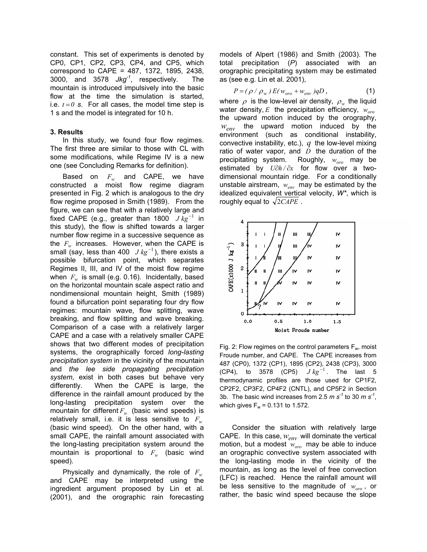constant. This set of experiments is denoted by CP0, CP1, CP2, CP3, CP4, and CP5, which correspond to CAPE = 487, 1372, 1895, 2438, 3000, and 3578 *Jkg-1*, respectively. The mountain is introduced impulsively into the basic flow at the time the simulation is started, i.e.  $t = 0$  **s**. For all cases, the model time step is 1 s and the model is integrated for 10 h.

## **3. Results**

In this study, we found four flow regimes. The first three are similar to those with CL with some modifications, while Regime IV is a new one (see Concluding Remarks for definition).

Based on *Fw* and CAPE, we have constructed a moist flow regime diagram presented in Fig. 2 which is analogous to the dry flow regime proposed in Smith (1989). From the figure, we can see that with a relatively large and fixed CAPE (e.g., greater than 1800  $J kg^{-1}$  in this study), the flow is shifted towards a larger number flow regime in a successive sequence as the  $F_w$  increases. However, when the CAPE is small (say, less than 400  $J kg^{-1}$ ), there exists a possible bifurcation point, which separates Regimes II, III, and IV of the moist flow regime when  $F_w$  is small (e.g. 0.16). Incidentally, based on the horizontal mountain scale aspect ratio and nondimensional mountain height, Smith (1989) found a bifurcation point separating four dry flow regimes: mountain wave, flow splitting, wave breaking, and flow splitting and wave breaking. Comparison of a case with a relatively larger CAPE and a case with a relatively smaller CAPE shows that two different modes of precipitation systems, the orographically forced *long-lasting precipitation system* in the vicinity of the mountain and *the lee side propagating precipitation system*, exist in both cases but behave very differently. When the CAPE is large, the difference in the rainfall amount produced by the long-lasting precipitation system over the mountain for different  $F_w$  (basic wind speeds) is relatively small, i.e. it is less sensitive to  $F_w$ (basic wind speed). On the other hand, with a small CAPE, the rainfall amount associated with the long-lasting precipitation system around the mountain is proportional to  $F_w$  (basic wind speed).

Physically and dynamically, the role of  $F_w$ and CAPE may be interpreted using the ingredient argument proposed by Lin et al. (2001), and the orographic rain forecasting models of Alpert (1986) and Smith (2003). The total precipitation (*P*) associated with an orographic precipitating system may be estimated as (see e.g. Lin et al. 2001),

$$
P = (\rho / \rho_w) E(w_{oro} + w_{env}) qD, \qquad (1)
$$

where  $\rho$  is the low-level air density,  $\rho_w$  the liquid water density,  $E$  the precipitation efficiency,  $w_{\text{one}}$ the upward motion induced by the orography, *wenv* the upward motion induced by the environment (such as conditional instability, convective instability, etc.), *q* the low-level mixing ratio of water vapor, and *D* the duration of the precipitating system. Roughly,  $w_{\text{one}}$  may be estimated by *U*∂*h /* ∂*x* for flow over a twodimensional mountain ridge. For a conditionally unstable airstream,  $w_{\text{env}}$  may be estimated by the idealized equivalent vertical velocity, *W\**, which is roughly equal to  $\sqrt{2CAPE}$ .



Fig. 2: Flow regimes on the control parameters  $F_w$ , moist Froude number, and CAPE. The CAPE increases from 487 (CP0), 1372 (CP1), 1895 (CP2), 2438 (CP3), 3000 (CP4), to 3578 (CP5)  $J kg^{-1}$ . The last 5 thermodynamic profiles are those used for CP1F2, CP2F2, CP3F2, CP4F2 (CNTL), and CP5F2 in Section 3b. The basic wind increases from 2.5 *m s-1* to 30 *m s-1*, which gives  $F_w = 0.131$  to 1.572.

 Consider the situation with relatively large CAPE. In this case,  $w_{env}$  will dominate the vertical motion, but a modest  $w_{\text{oro}}$  may be able to induce an orographic convective system associated with the long-lasting mode in the vicinity of the mountain, as long as the level of free convection (LFC) is reached. Hence the rainfall amount will be less sensitive to the magnitude of  $w_{\text{one}}$ , or rather, the basic wind speed because the slope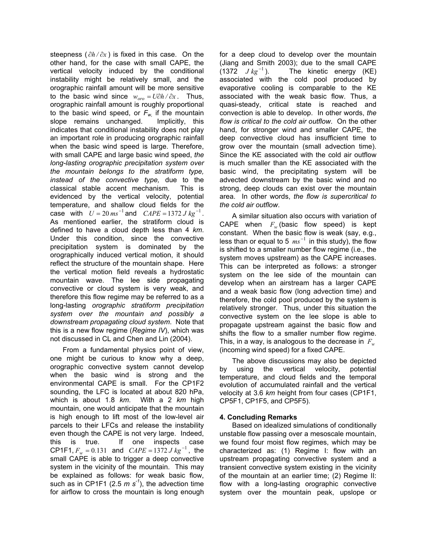steepness ( ∂*h /* ∂*x* ) is fixed in this case. On the other hand, for the case with small CAPE, the vertical velocity induced by the conditional instability might be relatively small, and the orographic rainfall amount will be more sensitive to the basic wind since  $w_{\alpha r\alpha} = U \partial h / \partial x$ . Thus, orographic rainfall amount is roughly proportional to the basic wind speed, or  $F_w$  if the mountain slope remains unchanged. Implicitly, this indicates that conditional instability does not play an important role in producing orographic rainfall when the basic wind speed is large. Therefore, with small CAPE and large basic wind speed, *the long-lasting orographic precipitation system over the mountain belongs to the stratiform type, instead of the convective type,* due to the classical stable accent mechanism. This is evidenced by the vertical velocity, potential temperature, and shallow cloud fields for the case with  $U = 20 \text{ ms}^{-1}$  and  $CAPE = 1372 \text{ J kg}^{-1}$ . As mentioned earlier, the stratiform cloud is defined to have a cloud depth less than 4 *km*. Under this condition, since the convective precipitation system is dominated by the orographically induced vertical motion, it should reflect the structure of the mountain shape. Here the vertical motion field reveals a hydrostatic mountain wave. The lee side propagating convective or cloud system is very weak, and therefore this flow regime may be referred to as a long-lasting *orographic stratiform precipitation system over the mountain and possibly a downstream propagating cloud system*. Note that this is a new flow regime (*Regime IV*), which was not discussed in CL and Chen and Lin (2004).

 From a fundamental physics point of view, one might be curious to know why a deep, orographic convective system cannot develop when the basic wind is strong and the environmental CAPE is small. For the CP1F2 sounding, the LFC is located at about 820 hPa, which is about 1.8 *km*. With a 2 *km* high mountain, one would anticipate that the mountain is high enough to lift most of the low-level air parcels to their LFCs and release the instability even though the CAPE is not very large. Indeed, this is true. If one inspects case CP1F1,  $F_w = 0.131$  and  $CAPE = 1372 J kg^{-1}$ , the small CAPE is able to trigger a deep convective system in the vicinity of the mountain. This may be explained as follows: for weak basic flow, such as in CP1F1 (2.5  $m s<sup>-1</sup>$ ), the advection time for airflow to cross the mountain is long enough for a deep cloud to develop over the mountain (Jiang and Smith 2003); due to the small CAPE (1372  $J kg^{-1}$ ). The kinetic energy (KE) associated with the cold pool produced by evaporative cooling is comparable to the KE associated with the weak basic flow. Thus, a quasi-steady, critical state is reached and convection is able to develop. In other words, *the flow is critical to the cold air outflow*. On the other hand, for stronger wind and smaller CAPE, the deep convective cloud has insufficient time to grow over the mountain (small advection time). Since the KE associated with the cold air outflow is much smaller than the KE associated with the basic wind, the precipitating system will be advected downstream by the basic wind and no strong, deep clouds can exist over the mountain area. In other words, *the flow is supercritical to the cold air outflow*.

 A similar situation also occurs with variation of CAPE when  $F_w$  (basic flow speed) is kept constant. When the basic flow is weak (say, e.g., less than or equal to 5  $ms^{-1}$  in this study), the flow is shifted to a smaller number flow regime (i.e., the system moves upstream) as the CAPE increases. This can be interpreted as follows: a stronger system on the lee side of the mountain can develop when an airstream has a larger CAPE and a weak basic flow (long advection time) and therefore, the cold pool produced by the system is relatively stronger. Thus, under this situation the convective system on the lee slope is able to propagate upstream against the basic flow and shifts the flow to a smaller number flow regime. This, in a way, is analogous to the decrease in  $F_w$ (incoming wind speed) for a fixed CAPE.

The above discussions may also be depicted by using the vertical velocity, potential temperature, and cloud fields and the temporal evolution of accumulated rainfall and the vertical velocity at 3.6 *km* height from four cases (CP1F1, CP5F1, CP1F5, and CP5F5).

## **4. Concluding Remarks**

Based on idealized simulations of conditionally unstable flow passing over a mesoscale mountain, we found four moist flow regimes, which may be characterized as: (1) Regime I: flow with an upstream propagating convective system and a transient convective system existing in the vicinity of the mountain at an earlier time; (2) Regime II: flow with a long-lasting orographic convective system over the mountain peak, upslope or